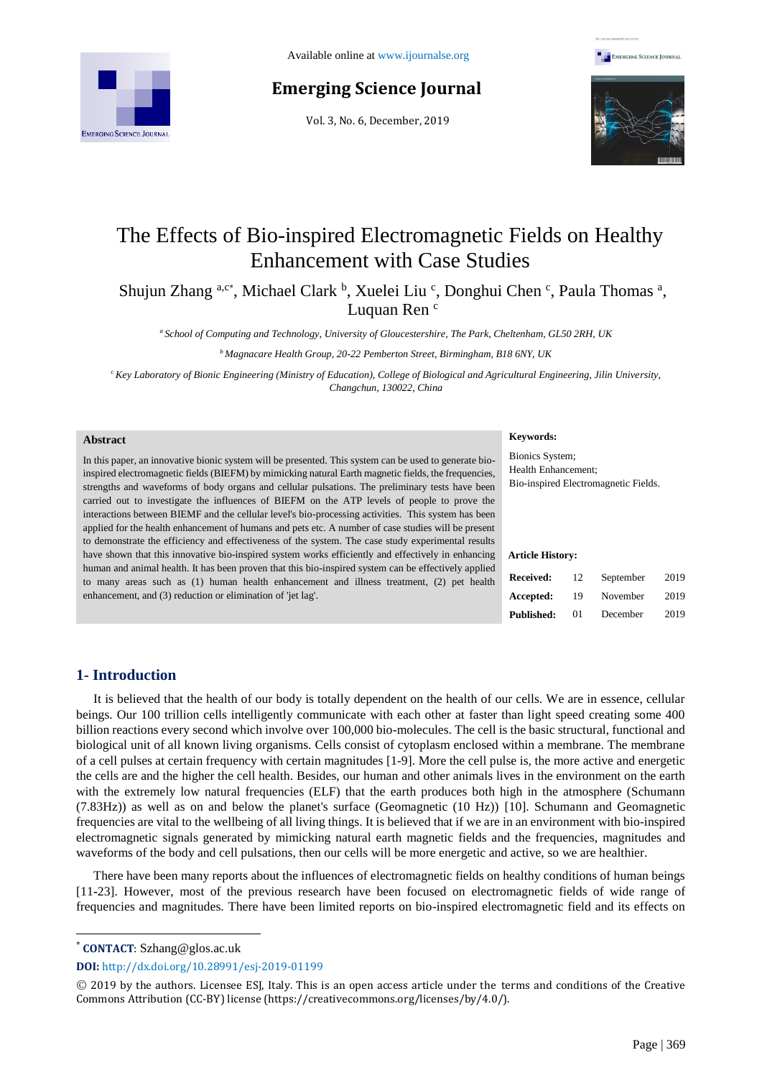

# **Emerging Science Journal**

Vol. 3, No. 6, December, 2019





# The Effects of Bio-inspired Electromagnetic Fields on Healthy Enhancement with Case Studies

Shujun Zhang a,c\*, Michael Clark b, Xuelei Liu c, Donghui Chen c, Paula Thomas a, Luquan Ren <sup>c</sup>

*<sup>a</sup> School of Computing and Technology, University of Gloucestershire, The Park, Cheltenham, GL50 2RH, UK*

*<sup>b</sup>Magnacare Health Group, 20-22 Pemberton Street, Birmingham, B18 6NY, UK*

*<sup>c</sup>Key Laboratory of Bionic Engineering (Ministry of Education), College of Biological and Agricultural Engineering, Jilin University, Changchun, 130022, China*

#### **Abstract**

In this paper, an innovative bionic system will be presented. This system can be used to generate bioinspired electromagnetic fields (BIEFM) by mimicking natural Earth magnetic fields, the frequencies, strengths and waveforms of body organs and cellular pulsations. The preliminary tests have been carried out to investigate the influences of BIEFM on the ATP levels of people to prove the interactions between BIEMF and the cellular level's bio-processing activities. This system has been applied for the health enhancement of humans and pets etc. A number of case studies will be present to demonstrate the efficiency and effectiveness of the system. The case study experimental results have shown that this innovative bio-inspired system works efficiently and effectively in enhancing human and animal health. It has been proven that this bio-inspired system can be effectively applied to many areas such as (1) human health enhancement and illness treatment, (2) pet health enhancement, and (3) reduction or elimination of 'jet lag'.

#### **Keywords:**

Bionics System; Health Enhancement; Bio-inspired Electromagnetic Fields.

#### **Article History:**

| Received:         | 12 | September | 2019 |
|-------------------|----|-----------|------|
| Accepted:         | 19 | November  | 2019 |
| <b>Published:</b> | 01 | December  | 2019 |

## **1- Introduction**

It is believed that the health of our body is totally dependent on the health of our cells. We are in essence, cellular beings. Our 100 trillion cells intelligently communicate with each other at faster than light speed creating some 400 billion reactions every second which involve over 100,000 bio-molecules. The cell is the basic structural, functional and biological unit of all known living organisms. Cells consist of cytoplasm enclosed within a membrane. The membrane of a cell pulses at certain frequency with certain magnitudes [1-9]. More the cell pulse is, the more active and energetic the cells are and the higher the cell health. Besides, our human and other animals lives in the environment on the earth with the extremely low natural frequencies (ELF) that the earth produces both high in the atmosphere (Schumann (7.83Hz)) as well as on and below the planet's surface (Geomagnetic (10 Hz)) [10]. Schumann and Geomagnetic frequencies are vital to the wellbeing of all living things. It is believed that if we are in an environment with bio-inspired electromagnetic signals generated by mimicking natural earth magnetic fields and the frequencies, magnitudes and waveforms of the body and cell pulsations, then our cells will be more energetic and active, so we are healthier.

There have been many reports about the influences of electromagnetic fields on healthy conditions of human beings [11**-**23]. However, most of the previous research have been focused on electromagnetic fields of wide range of frequencies and magnitudes. There have been limited reports on bio-inspired electromagnetic field and its effects on

\* **CONTACT**: Szhang@glos.ac.uk

l

**DOI:** <http://dx.doi.org/10.28991/esj-2019-01199>

<sup>©</sup> 2019 by the authors. Licensee ESJ, Italy. This is an open access article under the terms and conditions of the Creative Commons Attribution (CC-BY) license (https://creativecommons.org/licenses/by/4.0/).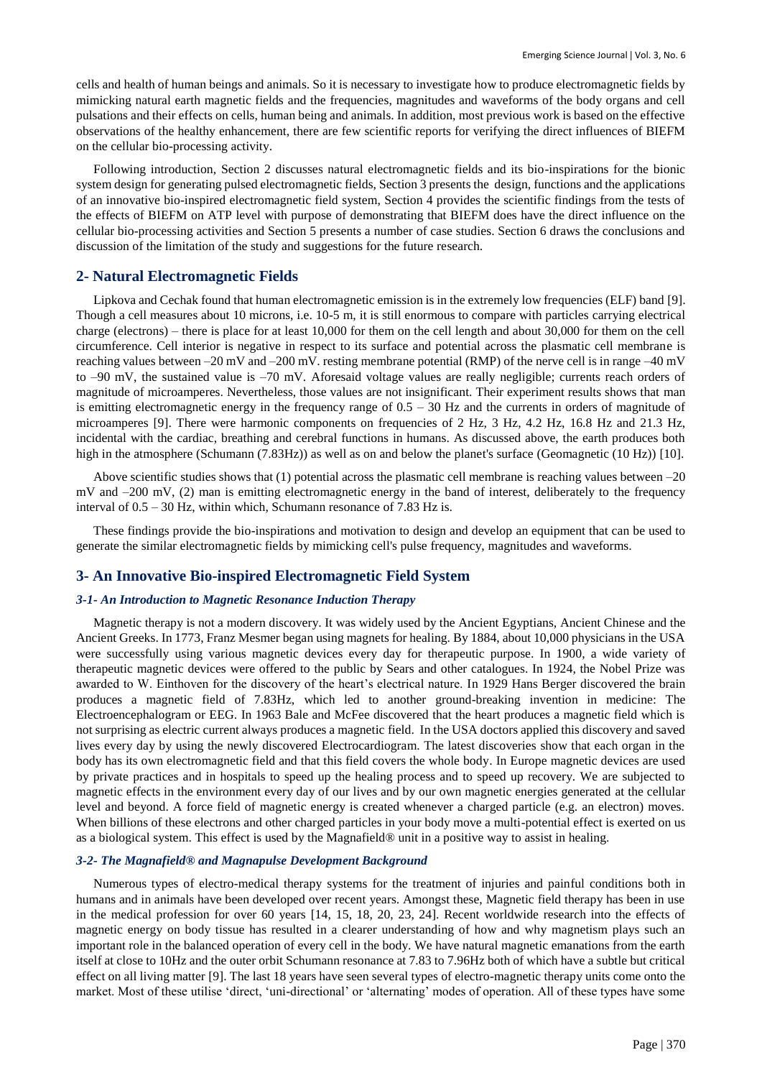cells and health of human beings and animals. So it is necessary to investigate how to produce electromagnetic fields by mimicking natural earth magnetic fields and the frequencies, magnitudes and waveforms of the body organs and cell pulsations and their effects on cells, human being and animals. In addition, most previous work is based on the effective observations of the healthy enhancement, there are few scientific reports for verifying the direct influences of BIEFM on the cellular bio-processing activity.

Following introduction, Section 2 discusses natural electromagnetic fields and its bio-inspirations for the bionic system design for generating pulsed electromagnetic fields, Section 3 presents the design, functions and the applications of an innovative bio-inspired electromagnetic field system, Section 4 provides the scientific findings from the tests of the effects of BIEFM on ATP level with purpose of demonstrating that BIEFM does have the direct influence on the cellular bio-processing activities and Section 5 presents a number of case studies. Section 6 draws the conclusions and discussion of the limitation of the study and suggestions for the future research.

## **2- Natural Electromagnetic Fields**

Lipkova and Cechak found that human electromagnetic emission is in the extremely low frequencies (ELF) band [9]. Though a cell measures about 10 microns, i.e. 10-5 m, it is still enormous to compare with particles carrying electrical charge (electrons) – there is place for at least 10,000 for them on the cell length and about 30,000 for them on the cell circumference. Cell interior is negative in respect to its surface and potential across the plasmatic cell membrane is reaching values between –20 mV and –200 mV. resting membrane potential (RMP) of the nerve cell is in range –40 mV to –90 mV, the sustained value is –70 mV. Aforesaid voltage values are really negligible; currents reach orders of magnitude of microamperes. Nevertheless, those values are not insignificant. Their experiment results shows that man is emitting electromagnetic energy in the frequency range of 0.5 – 30 Hz and the currents in orders of magnitude of microamperes [9]. There were harmonic components on frequencies of 2 Hz, 3 Hz, 4.2 Hz, 16.8 Hz and 21.3 Hz, incidental with the cardiac, breathing and cerebral functions in humans. As discussed above, the earth produces both high in the atmosphere (Schumann (7.83Hz)) as well as on and below the planet's surface (Geomagnetic (10 Hz)) [10].

Above scientific studies shows that (1) potential across the plasmatic cell membrane is reaching values between –20 mV and –200 mV, (2) man is emitting electromagnetic energy in the band of interest, deliberately to the frequency interval of 0.5 – 30 Hz, within which, Schumann resonance of 7.83 Hz is.

These findings provide the bio-inspirations and motivation to design and develop an equipment that can be used to generate the similar electromagnetic fields by mimicking cell's pulse frequency, magnitudes and waveforms.

## **3- An Innovative Bio-inspired Electromagnetic Field System**

## *3-1- An Introduction to Magnetic Resonance Induction Therapy*

Magnetic therapy is not a modern discovery. It was widely used by the Ancient Egyptians, Ancient Chinese and the Ancient Greeks. In 1773, Franz Mesmer began using magnets for healing. By 1884, about 10,000 physicians in the USA were successfully using various magnetic devices every day for therapeutic purpose. In 1900, a wide variety of therapeutic magnetic devices were offered to the public by Sears and other catalogues. In 1924, the Nobel Prize was awarded to W. Einthoven for the discovery of the heart's electrical nature. In 1929 Hans Berger discovered the brain produces a magnetic field of 7.83Hz, which led to another ground-breaking invention in medicine: The Electroencephalogram or EEG. In 1963 Bale and McFee discovered that the heart produces a magnetic field which is not surprising as electric current always produces a magnetic field. In the USA doctors applied this discovery and saved lives every day by using the newly discovered Electrocardiogram. The latest discoveries show that each organ in the body has its own electromagnetic field and that this field covers the whole body. In Europe magnetic devices are used by private practices and in hospitals to speed up the healing process and to speed up recovery. We are subjected to magnetic effects in the environment every day of our lives and by our own magnetic energies generated at the cellular level and beyond. A force field of magnetic energy is created whenever a charged particle (e.g. an electron) moves. When billions of these electrons and other charged particles in your body move a multi-potential effect is exerted on us as a biological system. This effect is used by the Magnafield® unit in a positive way to assist in healing.

#### *3-2- The Magnafield® and Magnapulse Development Background*

Numerous types of electro-medical therapy systems for the treatment of injuries and painful conditions both in humans and in animals have been developed over recent years. Amongst these, Magnetic field therapy has been in use in the medical profession for over 60 years [14, 15, 18, 20, 23, 24]. Recent worldwide research into the effects of magnetic energy on body tissue has resulted in a clearer understanding of how and why magnetism plays such an important role in the balanced operation of every cell in the body. We have natural magnetic emanations from the earth itself at close to 10Hz and the outer orbit Schumann resonance at 7.83 to 7.96Hz both of which have a subtle but critical effect on all living matter [9]. The last 18 years have seen several types of electro-magnetic therapy units come onto the market. Most of these utilise 'direct, 'uni-directional' or 'alternating' modes of operation. All of these types have some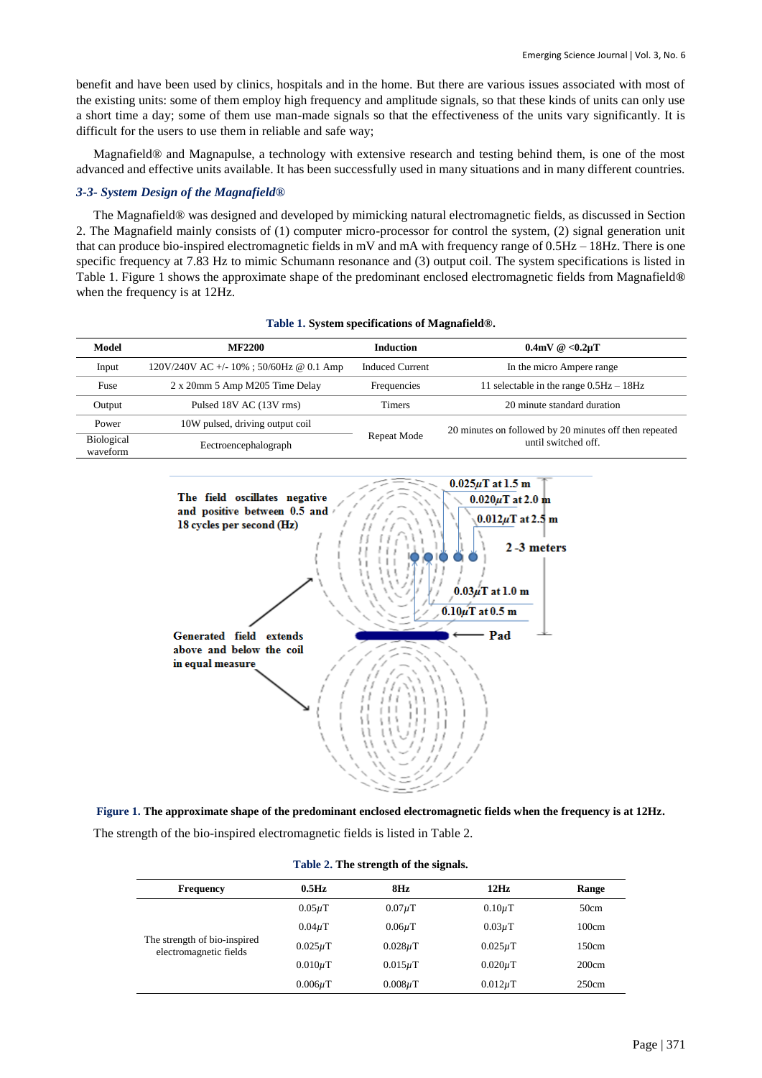benefit and have been used by clinics, hospitals and in the home. But there are various issues associated with most of the existing units: some of them employ high frequency and amplitude signals, so that these kinds of units can only use a short time a day; some of them use man-made signals so that the effectiveness of the units vary significantly. It is difficult for the users to use them in reliable and safe way;

Magnafield® and Magnapulse, a technology with extensive research and testing behind them, is one of the most advanced and effective units available. It has been successfully used in many situations and in many different countries.

## *3-3- System Design of the Magnafield®*

The Magnafield® was designed and developed by mimicking natural electromagnetic fields, as discussed in Section 2. The Magnafield mainly consists of (1) computer micro-processor for control the system, (2) signal generation unit that can produce bio-inspired electromagnetic fields in mV and mA with frequency range of 0.5Hz – 18Hz. There is one specific frequency at 7.83 Hz to mimic Schumann resonance and (3) output coil. The system specifications is listed in Table 1. Figure 1 shows the approximate shape of the predominant enclosed electromagnetic fields from Magnafield**®**  when the frequency is at 12Hz.

| Model                         | <b>MF2200</b>                              | <b>Induction</b>       | $0.4mV \& 0.2\mu T$                                     |  |  |
|-------------------------------|--------------------------------------------|------------------------|---------------------------------------------------------|--|--|
| Input                         | $120V/240V$ AC +/- 10% ; 50/60Hz @ 0.1 Amp | <b>Induced Current</b> | In the micro Ampere range                               |  |  |
| Fuse                          | 2 x 20mm 5 Amp M205 Time Delay             | Frequencies            | 11 selectable in the range $0.5\text{Hz} - 18\text{Hz}$ |  |  |
| Output                        | Pulsed 18V AC (13V rms)                    | Timers                 | 20 minute standard duration                             |  |  |
| Power                         | 10W pulsed, driving output coil            |                        | 20 minutes on followed by 20 minutes off then repeated  |  |  |
| <b>Biological</b><br>waveform | Eectroencephalograph                       | Repeat Mode            | until switched off.                                     |  |  |





**Figure 1. The approximate shape of the predominant enclosed electromagnetic fields when the frequency is at 12Hz.**

The strength of the bio-inspired electromagnetic fields is listed in Table 2.

| <b>Frequency</b>                                       | $0.5$ Hz     | 8Hz          | 12Hz         | Range |
|--------------------------------------------------------|--------------|--------------|--------------|-------|
|                                                        | $0.05\mu$ T  | $0.07\mu$ T  | $0.10\mu$ T  | 50cm  |
|                                                        | $0.04\mu$ T  | $0.06\mu$ T  | $0.03\mu$ T  | 100cm |
| The strength of bio-inspired<br>electromagnetic fields | $0.025\mu$ T | $0.028\mu$ T | $0.025\mu$ T | 150cm |
|                                                        | $0.010\mu$ T | $0.015\mu$ T | $0.020\mu$ T | 200cm |
|                                                        | $0.006\mu$ T | $0.008\mu$ T | $0.012\mu$ T | 250cm |

**Table 2. The strength of the signals.**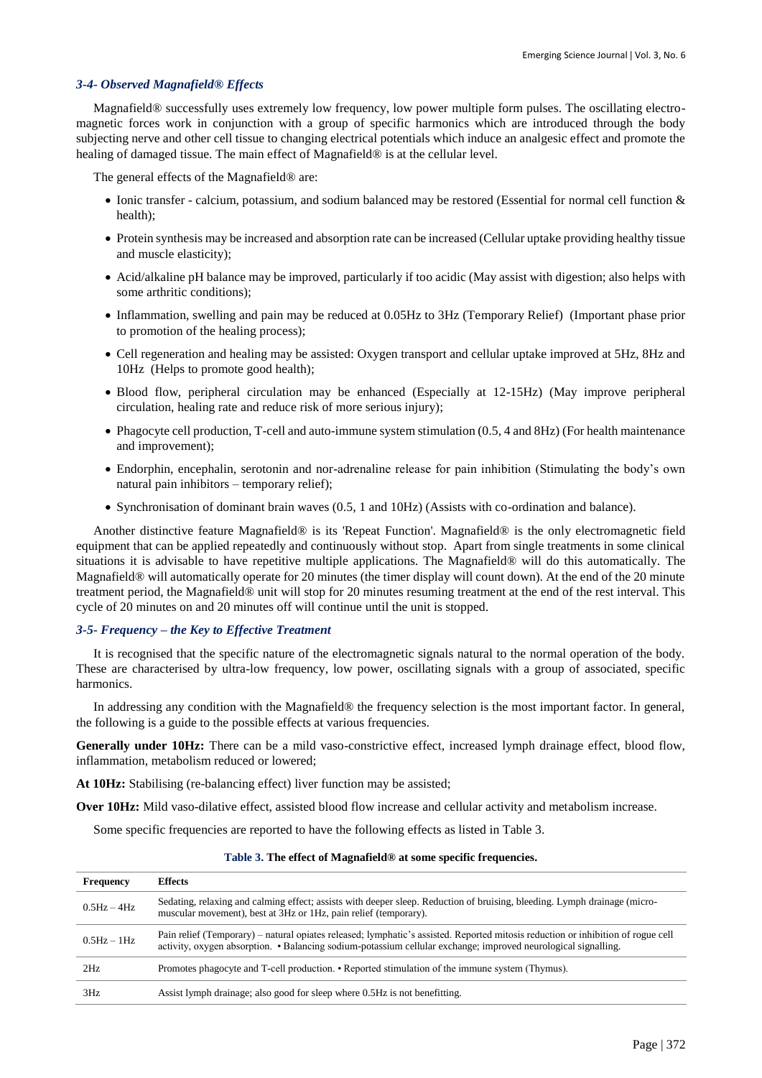## *3-4- Observed Magnafield® Effects*

Magnafield® successfully uses extremely low frequency, low power multiple form pulses. The oscillating electromagnetic forces work in conjunction with a group of specific harmonics which are introduced through the body subjecting nerve and other cell tissue to changing electrical potentials which induce an analgesic effect and promote the healing of damaged tissue. The main effect of Magnafield® is at the cellular level.

The general effects of the Magnafield® are:

- Ionic transfer calcium, potassium, and sodium balanced may be restored (Essential for normal cell function  $\&$ health);
- Protein synthesis may be increased and absorption rate can be increased (Cellular uptake providing healthy tissue and muscle elasticity);
- Acid/alkaline pH balance may be improved, particularly if too acidic (May assist with digestion; also helps with some arthritic conditions);
- Inflammation, swelling and pain may be reduced at 0.05Hz to 3Hz (Temporary Relief) (Important phase prior to promotion of the healing process);
- Cell regeneration and healing may be assisted: Oxygen transport and cellular uptake improved at 5Hz, 8Hz and 10Hz (Helps to promote good health);
- Blood flow, peripheral circulation may be enhanced (Especially at 12-15Hz) (May improve peripheral circulation, healing rate and reduce risk of more serious injury);
- Phagocyte cell production, T-cell and auto-immune system stimulation (0.5, 4 and 8Hz) (For health maintenance and improvement);
- Endorphin, encephalin, serotonin and nor-adrenaline release for pain inhibition (Stimulating the body's own natural pain inhibitors – temporary relief);
- Synchronisation of dominant brain waves (0.5, 1 and 10Hz) (Assists with co-ordination and balance).

Another distinctive feature Magnafield® is its 'Repeat Function'. Magnafield® is the only electromagnetic field equipment that can be applied repeatedly and continuously without stop. Apart from single treatments in some clinical situations it is advisable to have repetitive multiple applications. The Magnafield® will do this automatically. The Magnafield® will automatically operate for 20 minutes (the timer display will count down). At the end of the 20 minute treatment period, the Magnafield® unit will stop for 20 minutes resuming treatment at the end of the rest interval. This cycle of 20 minutes on and 20 minutes off will continue until the unit is stopped.

#### *3-5- Frequency – the Key to Effective Treatment*

It is recognised that the specific nature of the electromagnetic signals natural to the normal operation of the body. These are characterised by ultra-low frequency, low power, oscillating signals with a group of associated, specific harmonics.

In addressing any condition with the Magnafield® the frequency selection is the most important factor. In general, the following is a guide to the possible effects at various frequencies.

Generally under 10Hz: There can be a mild vaso-constrictive effect, increased lymph drainage effect, blood flow, inflammation, metabolism reduced or lowered;

**At 10Hz:** Stabilising (re-balancing effect) liver function may be assisted;

**Over 10Hz:** Mild vaso-dilative effect, assisted blood flow increase and cellular activity and metabolism increase.

Some specific frequencies are reported to have the following effects as listed in Table 3.

| <b>Frequency</b>            | <b>Effects</b>                                                                                                                                                                                                                                     |
|-----------------------------|----------------------------------------------------------------------------------------------------------------------------------------------------------------------------------------------------------------------------------------------------|
| $0.5\text{Hz} - 4\text{Hz}$ | Sedating, relaxing and calming effect; assists with deeper sleep. Reduction of bruising, bleeding. Lymph drainage (micro-<br>muscular movement), best at 3Hz or 1Hz, pain relief (temporary).                                                      |
| $0.5\text{Hz} - 1\text{Hz}$ | Pain relief (Temporary) – natural opiates released; lymphatic's assisted. Reported mitosis reduction or inhibition of rogue cell<br>activity, oxygen absorption. • Balancing sodium-potassium cellular exchange; improved neurological signalling. |
| 2Hz                         | Promotes phagocyte and T-cell production. • Reported stimulation of the immune system (Thymus).                                                                                                                                                    |
| 3Hz                         | Assist lymph drainage; also good for sleep where 0.5Hz is not benefitting.                                                                                                                                                                         |

**Table 3. The effect of Magnafield® at some specific frequencies.**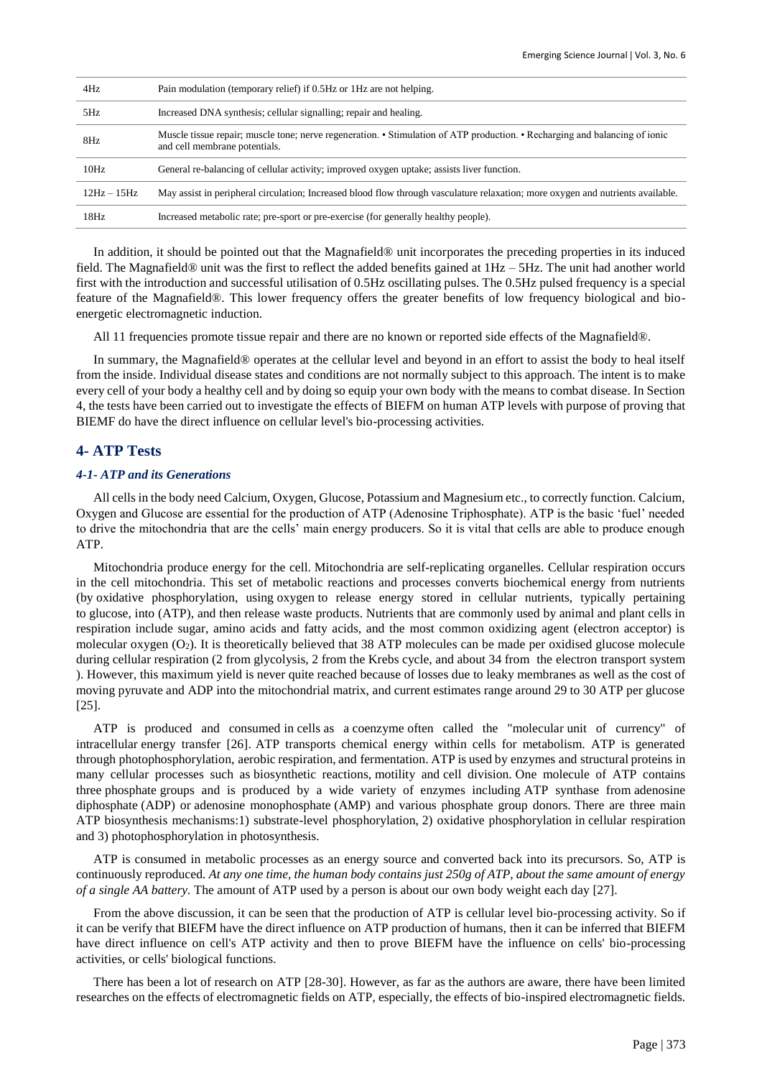| 4Hz           | Pain modulation (temporary relief) if 0.5Hz or 1Hz are not helping.                                                                                          |
|---------------|--------------------------------------------------------------------------------------------------------------------------------------------------------------|
| 5Hz           | Increased DNA synthesis; cellular signalling; repair and healing.                                                                                            |
| 8Hz           | Muscle tissue repair; muscle tone; nerve regeneration. • Stimulation of ATP production. • Recharging and balancing of ionic<br>and cell membrane potentials. |
| 10Hz          | General re-balancing of cellular activity; improved oxygen uptake; assists liver function.                                                                   |
| $12Hz - 15Hz$ | May assist in peripheral circulation; Increased blood flow through vasculature relaxation; more oxygen and nutrients available.                              |
| 18Hz          | Increased metabolic rate; pre-sport or pre-exercise (for generally healthy people).                                                                          |

In addition, it should be pointed out that the Magnafield® unit incorporates the preceding properties in its induced field. The Magnafield® unit was the first to reflect the added benefits gained at 1Hz – 5Hz. The unit had another world first with the introduction and successful utilisation of 0.5Hz oscillating pulses. The 0.5Hz pulsed frequency is a special feature of the Magnafield®. This lower frequency offers the greater benefits of low frequency biological and bioenergetic electromagnetic induction.

All 11 frequencies promote tissue repair and there are no known or reported side effects of the Magnafield®.

In summary, the Magnafield® operates at the cellular level and beyond in an effort to assist the body to heal itself from the inside. Individual disease states and conditions are not normally subject to this approach. The intent is to make every cell of your body a healthy cell and by doing so equip your own body with the means to combat disease. In Section 4, the tests have been carried out to investigate the effects of BIEFM on human ATP levels with purpose of proving that BIEMF do have the direct influence on cellular level's bio-processing activities.

# **4- ATP Tests**

## *4-1- ATP and its Generations*

All cells in the body need Calcium, Oxygen, Glucose, Potassium and Magnesium etc., to correctly function. Calcium, Oxygen and Glucose are essential for the production of ATP (Adenosine Triphosphate). ATP is the basic 'fuel' needed to drive the mitochondria that are the cells' main energy producers. So it is vital that cells are able to produce enough ATP.

Mitochondria produce energy for the cell. Mitochondria are self-replicating organelles. Cellular respiration occurs in the cell mitochondria. This set of metabolic reactions and processes converts biochemical energy from nutrients (by [oxidative phosphorylation,](https://en.wikipedia.org/wiki/Oxidative_phosphorylation) using oxygen to release energy stored in cellular nutrients, typically pertaining to [glucose,](https://en.wikipedia.org/wiki/Glucose) into (ATP), and then release waste products. Nutrients that are commonly used by animal and plant cells in respiration include sugar, amino acids and fatty acids, and the most common oxidizing agent (electron acceptor) is molecular oxygen (O2). It is theoretically believed that 38 ATP molecules can be made per oxidised glucose molecule during cellular respiration (2 from glycolysis, 2 from the Krebs cycle, and about 34 from the electron transport system ). However, this maximum yield is never quite reached because of losses due to leaky membranes as well as the cost of moving pyruvate and ADP into the mitochondrial matrix, and current estimates range around 29 to 30 ATP per glucose [25].

ATP is produced and consumed in cells as a coenzyme often called the "molecular unit of currency" of intracellular energy transfer [26]. ATP transports chemical energy within cells for metabolism. ATP is generated through photophosphorylation, aerobic respiration, and fermentation. ATP is used by enzymes and structural proteins in many cellular processes such as biosynthetic reactions, motility and cell division. One molecule of ATP contains three phosphate groups and is produced by a wide variety of enzymes including ATP synthase from adenosine diphosphate (ADP) or adenosine monophosphate (AMP) and various phosphate group donors. There are three main ATP biosynthesis mechanisms:1) substrate-level phosphorylation, 2) oxidative phosphorylation in cellular respiration and 3) photophosphorylation in photosynthesis.

ATP is consumed in metabolic processes as an energy source and converted back into its precursors. So, ATP is continuously reproduced. *At any one time, the human body contains just 250g of ATP, about the same amount of energy of a single AA battery.* The amount of ATP used by a person is about our own body weight each day [27].

From the above discussion, it can be seen that the production of ATP is cellular level bio-processing activity. So if it can be verify that BIEFM have the direct influence on ATP production of humans, then it can be inferred that BIEFM have direct influence on cell's ATP activity and then to prove BIEFM have the influence on cells' bio-processing activities, or cells' biological functions.

There has been a lot of research on ATP [28-30]. However, as far as the authors are aware, there have been limited researches on the effects of electromagnetic fields on ATP, especially, the effects of bio-inspired electromagnetic fields.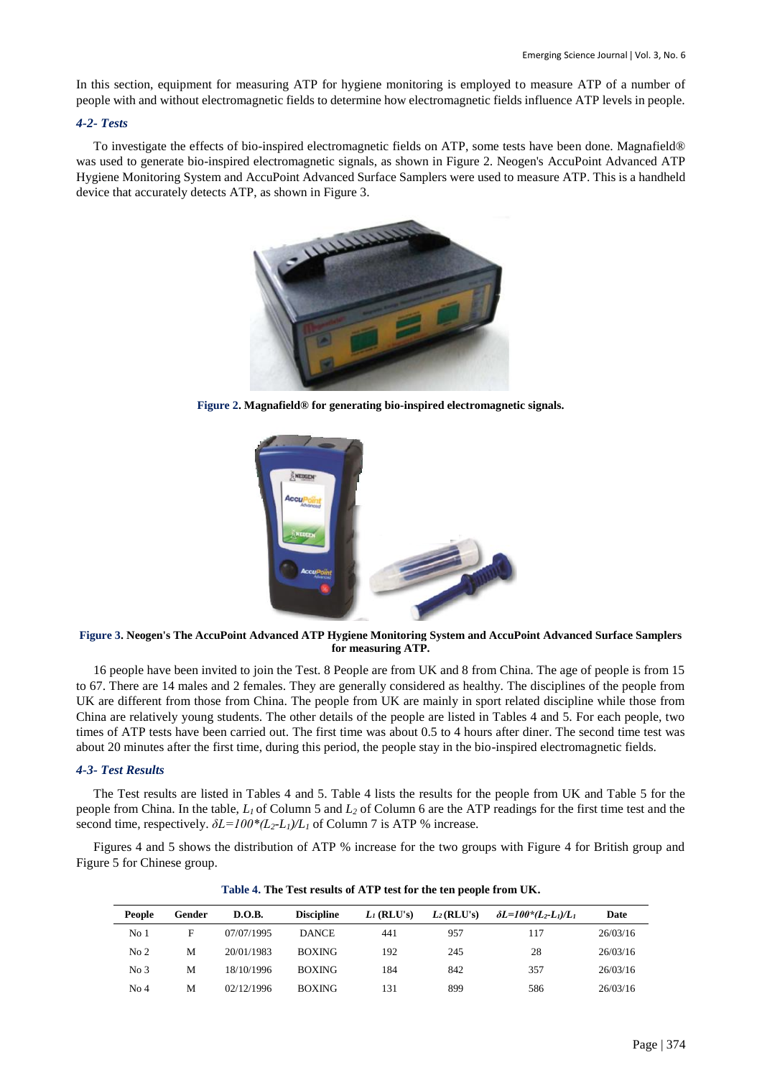In this section, equipment for measuring ATP for hygiene monitoring is employed to measure ATP of a number of people with and without electromagnetic fields to determine how electromagnetic fields influence ATP levels in people.

## *4-2- Tests*

To investigate the effects of bio-inspired electromagnetic fields on ATP, some tests have been done. Magnafield® was used to generate bio-inspired electromagnetic signals, as shown in Figure 2. Neogen's AccuPoint Advanced ATP Hygiene Monitoring System and AccuPoint Advanced Surface Samplers were used to measure ATP. This is a handheld device that accurately detects ATP, as shown in Figure 3.



**Figure 2. Magnafield® for generating bio-inspired electromagnetic signals.**



**Figure 3. Neogen's The AccuPoint Advanced ATP Hygiene Monitoring System and AccuPoint Advanced Surface Samplers for measuring ATP.**

16 people have been invited to join the Test. 8 People are from UK and 8 from China. The age of people is from 15 to 67. There are 14 males and 2 females. They are generally considered as healthy. The disciplines of the people from UK are different from those from China. The people from UK are mainly in sport related discipline while those from China are relatively young students. The other details of the people are listed in Tables 4 and 5. For each people, two times of ATP tests have been carried out. The first time was about 0.5 to 4 hours after diner. The second time test was about 20 minutes after the first time, during this period, the people stay in the bio-inspired electromagnetic fields.

## *4-3- Test Results*

The Test results are listed in Tables 4 and 5. Table 4 lists the results for the people from UK and Table 5 for the people from China. In the table, *L1* of Column 5 and *L<sup>2</sup>* of Column 6 are the ATP readings for the first time test and the second time, respectively. *δL=100\*(L2-L1)/L<sup>1</sup>* of Column 7 is ATP % increase.

Figures 4 and 5 shows the distribution of ATP % increase for the two groups with Figure 4 for British group and Figure 5 for Chinese group.

| People          | Gender | D.O.B.     | <b>Discipline</b> | $L_I$ (RLU's) | $L_2(RLU's)$ | $\delta L = 100^{\circ} (L_2 - L_1)/L_1$ | Date     |
|-----------------|--------|------------|-------------------|---------------|--------------|------------------------------------------|----------|
| No <sub>1</sub> | F      | 07/07/1995 | <b>DANCE</b>      | 441           | 957          | 117                                      | 26/03/16 |
| No <sub>2</sub> | M      | 20/01/1983 | <b>BOXING</b>     | 192           | 245          | 28                                       | 26/03/16 |
| No <sub>3</sub> | M      | 18/10/1996 | <b>BOXING</b>     | 184           | 842          | 357                                      | 26/03/16 |
| No <sub>4</sub> | M      | 02/12/1996 | <b>BOXING</b>     | 131           | 899          | 586                                      | 26/03/16 |

**Table 4. The Test results of ATP test for the ten people from UK.**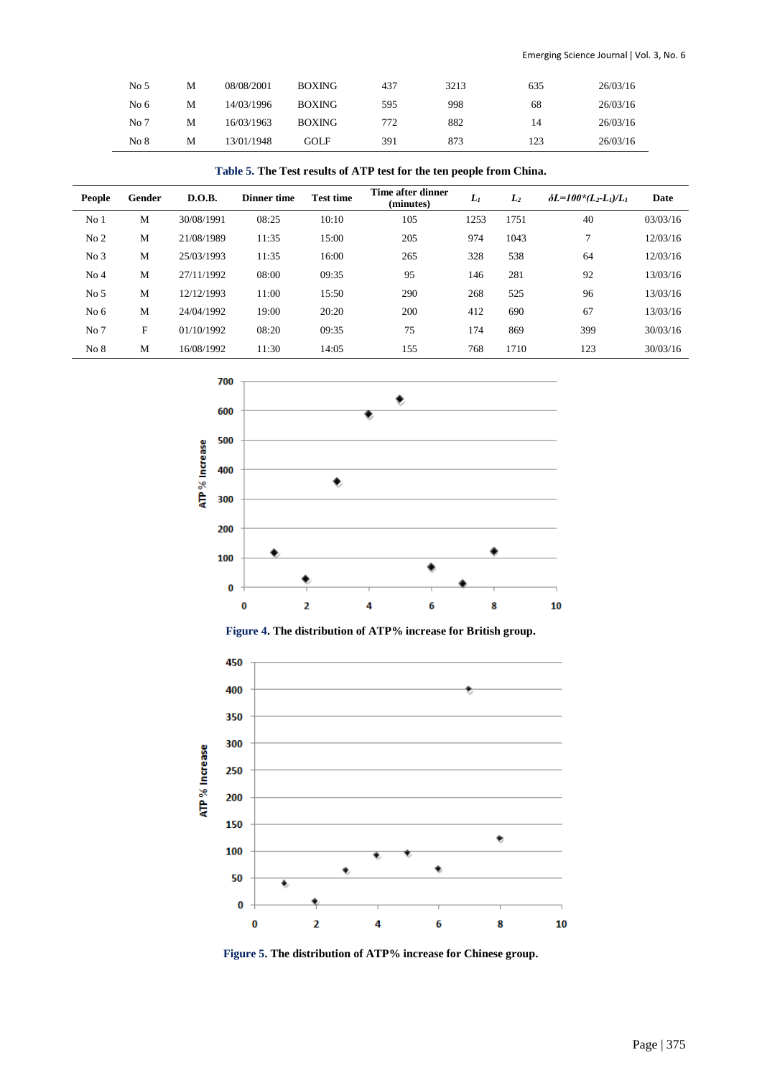| No <sub>5</sub> | М | 08/08/2001 | <b>BOXING</b> | 437 | 3213 | 635 | 26/03/16 |
|-----------------|---|------------|---------------|-----|------|-----|----------|
| No <sub>6</sub> | M | 14/03/1996 | <b>BOXING</b> | 595 | 998  | 68  | 26/03/16 |
| No 7            | М | 16/03/1963 | <b>BOXING</b> | 772 | 882  | 14  | 26/03/16 |
| No 8            | M | 13/01/1948 | GOL F         | 391 | 873  | 123 | 26/03/16 |

# **Table 5. The Test results of ATP test for the ten people from China.**

| <b>People</b>   | Gender | D.O.B.     | <b>Dinner time</b> | <b>Test time</b> | Time after dinner<br>(minutes) | Lı   | $L_2$ | $\delta L = 100^{\circ} (L_2 - L_1)/L_1$ | <b>Date</b> |
|-----------------|--------|------------|--------------------|------------------|--------------------------------|------|-------|------------------------------------------|-------------|
| No <sub>1</sub> | M      | 30/08/1991 | 08:25              | 10:10            | 105                            | 1253 | 1751  | 40                                       | 03/03/16    |
| No <sub>2</sub> | M      | 21/08/1989 | 11:35              | 15:00            | 205                            | 974  | 1043  | ⇁                                        | 12/03/16    |
| No <sub>3</sub> | M      | 25/03/1993 | 11:35              | 16:00            | 265                            | 328  | 538   | 64                                       | 12/03/16    |
| No <sub>4</sub> | M      | 27/11/1992 | 08:00              | 09:35            | 95                             | 146  | 281   | 92                                       | 13/03/16    |
| No <sub>5</sub> | M      | 12/12/1993 | 11:00              | 15:50            | 290                            | 268  | 525   | 96                                       | 13/03/16    |
| No <sub>6</sub> | M      | 24/04/1992 | 19:00              | 20:20            | 200                            | 412  | 690   | 67                                       | 13/03/16    |
| No 7            | F      | 01/10/1992 | 08:20              | 09:35            | 75                             | 174  | 869   | 399                                      | 30/03/16    |
| No 8            | M      | 16/08/1992 | 11:30              | 14:05            | 155                            | 768  | 1710  | 123                                      | 30/03/16    |



**Figure 4. The distribution of ATP% increase for British group.**



**Figure 5. The distribution of ATP% increase for Chinese group.**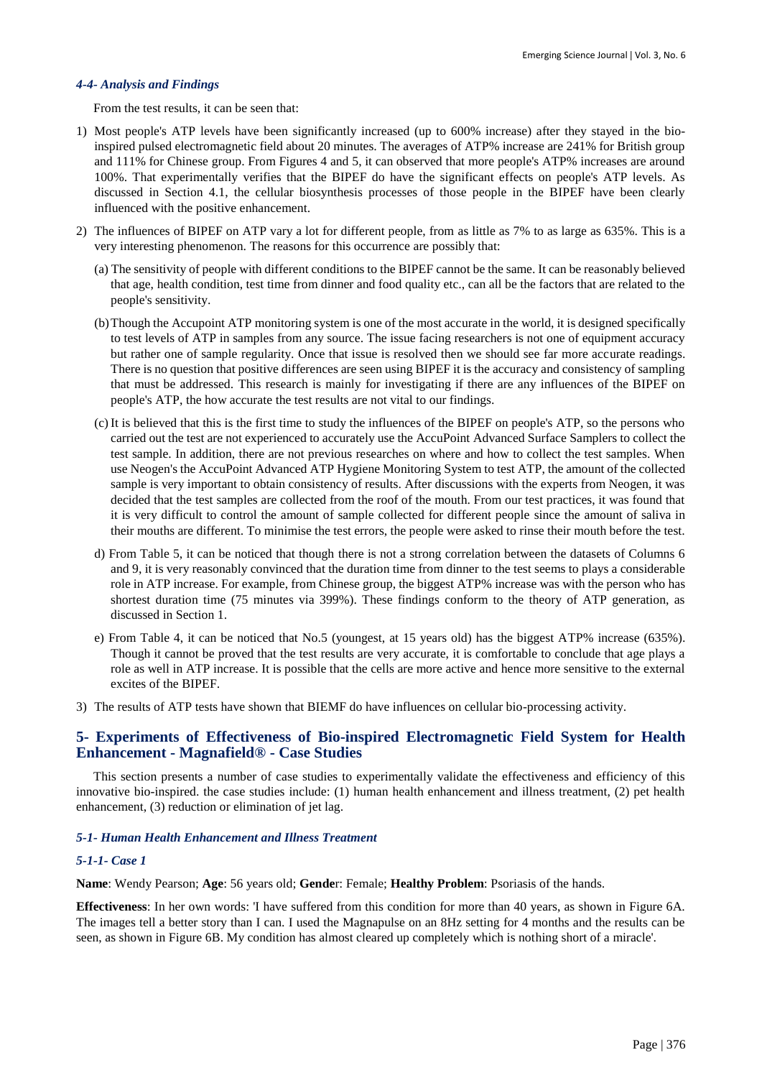## *4-4- Analysis and Findings*

From the test results, it can be seen that:

- 1) Most people's ATP levels have been significantly increased (up to 600% increase) after they stayed in the bioinspired pulsed electromagnetic field about 20 minutes. The averages of ATP% increase are 241% for British group and 111% for Chinese group. From Figures 4 and 5, it can observed that more people's ATP% increases are around 100%. That experimentally verifies that the BIPEF do have the significant effects on people's ATP levels. As discussed in Section 4.1, the cellular biosynthesis processes of those people in the BIPEF have been clearly influenced with the positive enhancement.
- 2) The influences of BIPEF on ATP vary a lot for different people, from as little as 7% to as large as 635%. This is a very interesting phenomenon. The reasons for this occurrence are possibly that:
	- (a) The sensitivity of people with different conditions to the BIPEF cannot be the same. It can be reasonably believed that age, health condition, test time from dinner and food quality etc., can all be the factors that are related to the people's sensitivity.
	- (b)Though the Accupoint ATP monitoring system is one of the most accurate in the world, it is designed specifically to test levels of ATP in samples from any source. The issue facing researchers is not one of equipment accuracy but rather one of sample regularity. Once that issue is resolved then we should see far more accurate readings. There is no question that positive differences are seen using BIPEF it is the accuracy and consistency of sampling that must be addressed. This research is mainly for investigating if there are any influences of the BIPEF on people's ATP, the how accurate the test results are not vital to our findings.
	- (c) It is believed that this is the first time to study the influences of the BIPEF on people's ATP, so the persons who carried out the test are not experienced to accurately use the AccuPoint Advanced Surface Samplers to collect the test sample. In addition, there are not previous researches on where and how to collect the test samples. When use Neogen's the AccuPoint Advanced ATP Hygiene Monitoring System to test ATP, the amount of the collected sample is very important to obtain consistency of results. After discussions with the experts from Neogen, it was decided that the test samples are collected from the roof of the mouth. From our test practices, it was found that it is very difficult to control the amount of sample collected for different people since the amount of saliva in their mouths are different. To minimise the test errors, the people were asked to rinse their mouth before the test.
	- d) From Table 5, it can be noticed that though there is not a strong correlation between the datasets of Columns 6 and 9, it is very reasonably convinced that the duration time from dinner to the test seems to plays a considerable role in ATP increase. For example, from Chinese group, the biggest ATP% increase was with the person who has shortest duration time (75 minutes via 399%). These findings conform to the theory of ATP generation, as discussed in Section 1.
	- e) From Table 4, it can be noticed that No.5 (youngest, at 15 years old) has the biggest ATP% increase (635%). Though it cannot be proved that the test results are very accurate, it is comfortable to conclude that age plays a role as well in ATP increase. It is possible that the cells are more active and hence more sensitive to the external excites of the BIPEF.
- 3) The results of ATP tests have shown that BIEMF do have influences on cellular bio-processing activity.

# **5- Experiments of Effectiveness of Bio-inspired Electromagnetic Field System for Health Enhancement - Magnafield® - Case Studies**

This section presents a number of case studies to experimentally validate the effectiveness and efficiency of this innovative bio-inspired. the case studies include: (1) human health enhancement and illness treatment, (2) pet health enhancement, (3) reduction or elimination of jet lag.

## *5-1- Human Health Enhancement and Illness Treatment*

## *5-1-1- Case 1*

**Name**: Wendy Pearson; **Age**: 56 years old; **Gende**r: Female; **Healthy Problem**: Psoriasis of the hands.

**Effectiveness**: In her own words: 'I have suffered from this condition for more than 40 years, as shown in Figure 6A. The images tell a better story than I can. I used the Magnapulse on an 8Hz setting for 4 months and the results can be seen, as shown in Figure 6B. My condition has almost cleared up completely which is nothing short of a miracle'.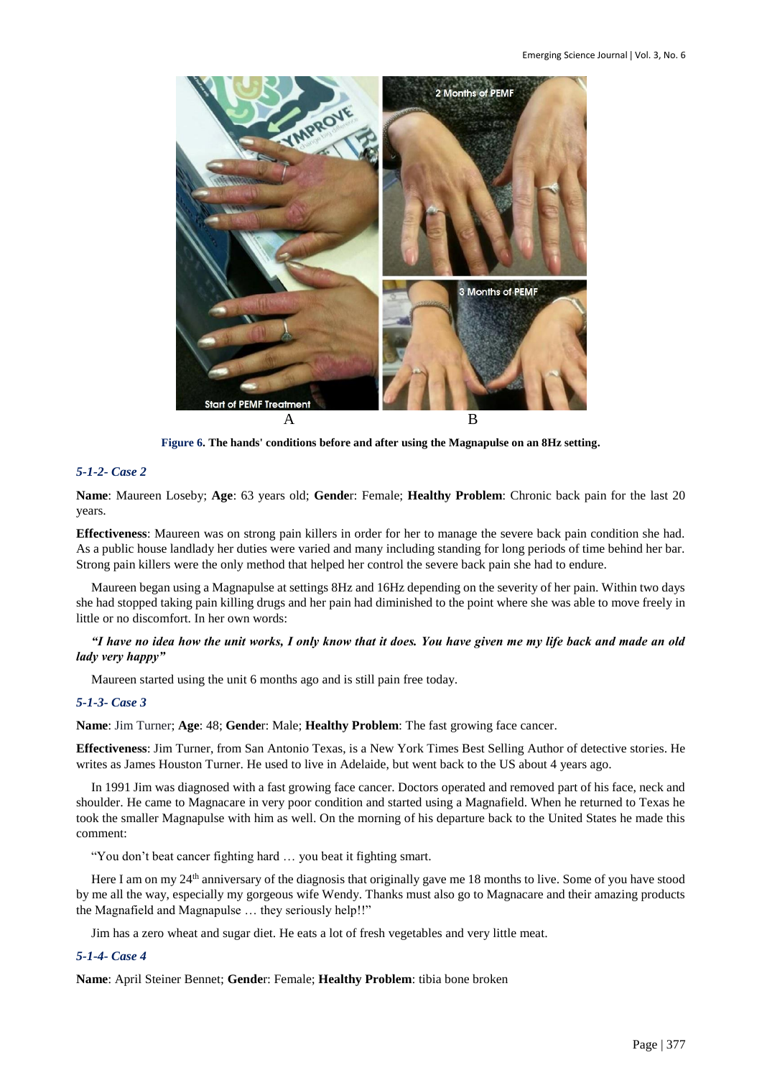

**Figure 6. The hands' conditions before and after using the Magnapulse on an 8Hz setting.**

# *5-1-2- Case 2*

**Name**: Maureen Loseby; **Age**: 63 years old; **Gende**r: Female; **Healthy Problem**: Chronic back pain for the last 20 years.

**Effectiveness**: Maureen was on strong pain killers in order for her to manage the severe back pain condition she had. As a public house landlady her duties were varied and many including standing for long periods of time behind her bar. Strong pain killers were the only method that helped her control the severe back pain she had to endure.

Maureen began using a Magnapulse at settings 8Hz and 16Hz depending on the severity of her pain. Within two days she had stopped taking pain killing drugs and her pain had diminished to the point where she was able to move freely in little or no discomfort. In her own words:

## *"I have no idea how the unit works, I only know that it does. You have given me my life back and made an old lady very happy"*

Maureen started using the unit 6 months ago and is still pain free today.

## *5-1-3- Case 3*

**Name**: Jim Turner; **Age**: 48; **Gende**r: Male; **Healthy Problem**: The fast growing face cancer.

**Effectiveness**: Jim Turner, from San Antonio Texas, is a New York Times Best Selling Author of detective stories. He writes as James Houston Turner. He used to live in Adelaide, but went back to the US about 4 years ago.

In 1991 Jim was diagnosed with a fast growing face cancer. Doctors operated and removed part of his face, neck and shoulder. He came to Magnacare in very poor condition and started using a Magnafield. When he returned to Texas he took the smaller Magnapulse with him as well. On the morning of his departure back to the United States he made this comment:

"You don't beat cancer fighting hard … you beat it fighting smart.

Here I am on my 24<sup>th</sup> anniversary of the diagnosis that originally gave me 18 months to live. Some of you have stood by me all the way, especially my gorgeous wife Wendy. Thanks must also go to Magnacare and their amazing products the Magnafield and Magnapulse … they seriously help!!"

Jim has a zero wheat and sugar diet. He eats a lot of fresh vegetables and very little meat.

## *5-1-4- Case 4*

**Name**: April Steiner Bennet; **Gende**r: Female; **Healthy Problem**: tibia bone broken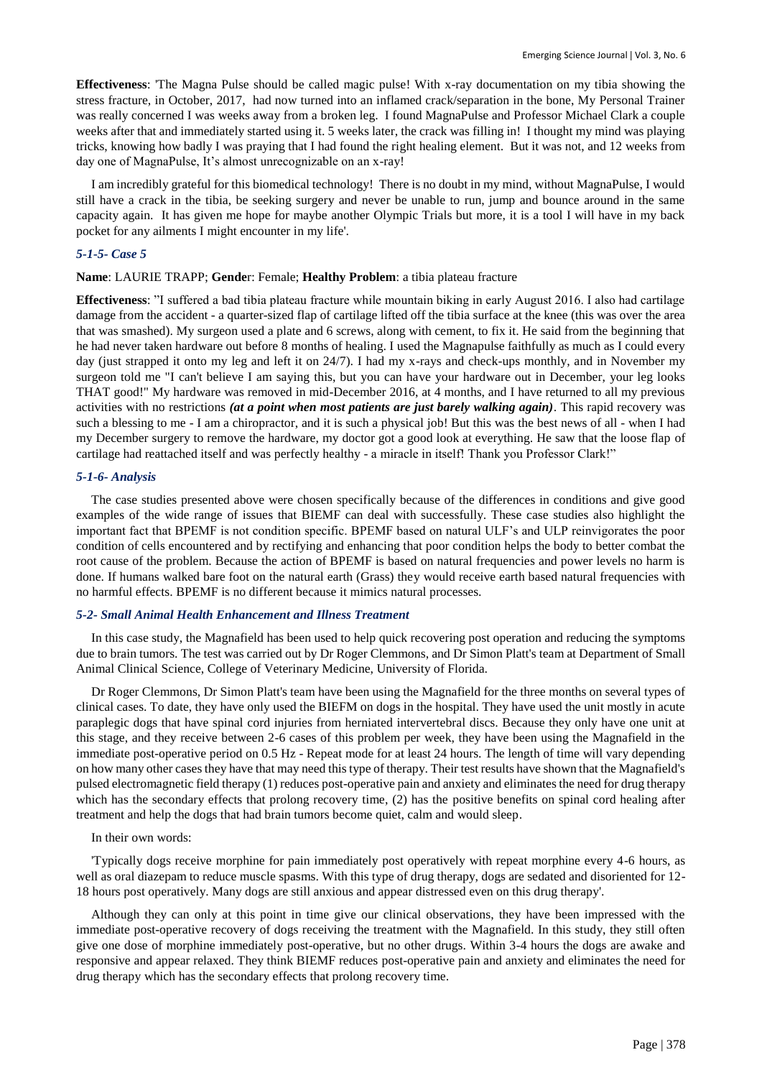**Effectiveness**: 'The Magna Pulse should be called magic pulse! With x-ray documentation on my tibia showing the stress fracture, in October, 2017, had now turned into an inflamed crack/separation in the bone, My Personal Trainer was really concerned I was weeks away from a broken leg. I found MagnaPulse and Professor Michael Clark a couple weeks after that and immediately started using it. 5 weeks later, the crack was filling in! I thought my mind was playing tricks, knowing how badly I was praying that I had found the right healing element. But it was not, and 12 weeks from day one of MagnaPulse, It's almost unrecognizable on an x-ray!

I am incredibly grateful for this biomedical technology! There is no doubt in my mind, without MagnaPulse, I would still have a crack in the tibia, be seeking surgery and never be unable to run, jump and bounce around in the same capacity again. It has given me hope for maybe another Olympic Trials but more, it is a tool I will have in my back pocket for any ailments I might encounter in my life'.

## *5-1-5- Case 5*

## **Name**: LAURIE TRAPP; **Gende**r: Female; **Healthy Problem**: a tibia plateau fracture

**Effectiveness**: "I suffered a bad tibia plateau fracture while mountain biking in early August 2016. I also had cartilage damage from the accident - a quarter-sized flap of cartilage lifted off the tibia surface at the knee (this was over the area that was smashed). My surgeon used a plate and 6 screws, along with cement, to fix it. He said from the beginning that he had never taken hardware out before 8 months of healing. I used the Magnapulse faithfully as much as I could every day (just strapped it onto my leg and left it on 24/7). I had my x-rays and check-ups monthly, and in November my surgeon told me "I can't believe I am saying this, but you can have your hardware out in December, your leg looks THAT good!" My hardware was removed in mid-December 2016, at 4 months, and I have returned to all my previous activities with no restrictions *(at a point when most patients are just barely walking again)*. This rapid recovery was such a blessing to me - I am a chiropractor, and it is such a physical job! But this was the best news of all - when I had my December surgery to remove the hardware, my doctor got a good look at everything. He saw that the loose flap of cartilage had reattached itself and was perfectly healthy - a miracle in itself! Thank you Professor Clark!"

## *5-1-6- Analysis*

The case studies presented above were chosen specifically because of the differences in conditions and give good examples of the wide range of issues that BIEMF can deal with successfully. These case studies also highlight the important fact that BPEMF is not condition specific. BPEMF based on natural ULF's and ULP reinvigorates the poor condition of cells encountered and by rectifying and enhancing that poor condition helps the body to better combat the root cause of the problem. Because the action of BPEMF is based on natural frequencies and power levels no harm is done. If humans walked bare foot on the natural earth (Grass) they would receive earth based natural frequencies with no harmful effects. BPEMF is no different because it mimics natural processes.

#### *5-2- Small Animal Health Enhancement and Illness Treatment*

In this case study, the Magnafield has been used to help quick recovering post operation and reducing the symptoms due to brain tumors. The test was carried out by Dr Roger Clemmons, and Dr Simon Platt's team at Department of Small Animal Clinical Science, College of Veterinary Medicine, University of Florida.

Dr Roger Clemmons, Dr Simon Platt's team have been using the Magnafield for the three months on several types of clinical cases. To date, they have only used the BIEFM on dogs in the hospital. They have used the unit mostly in acute paraplegic dogs that have spinal cord injuries from herniated intervertebral discs. Because they only have one unit at this stage, and they receive between 2-6 cases of this problem per week, they have been using the Magnafield in the immediate post-operative period on 0.5 Hz - Repeat mode for at least 24 hours. The length of time will vary depending on how many other cases they have that may need this type of therapy. Their test results have shown that the Magnafield's pulsed electromagnetic field therapy (1) reduces post-operative pain and anxiety and eliminates the need for drug therapy which has the secondary effects that prolong recovery time, (2) has the positive benefits on spinal cord healing after treatment and help the dogs that had brain tumors become quiet, calm and would sleep.

#### In their own words:

'Typically dogs receive morphine for pain immediately post operatively with repeat morphine every 4-6 hours, as well as oral diazepam to reduce muscle spasms. With this type of drug therapy, dogs are sedated and disoriented for 12- 18 hours post operatively. Many dogs are still anxious and appear distressed even on this drug therapy'.

Although they can only at this point in time give our clinical observations, they have been impressed with the immediate post-operative recovery of dogs receiving the treatment with the Magnafield. In this study, they still often give one dose of morphine immediately post-operative, but no other drugs. Within 3-4 hours the dogs are awake and responsive and appear relaxed. They think BIEMF reduces post-operative pain and anxiety and eliminates the need for drug therapy which has the secondary effects that prolong recovery time.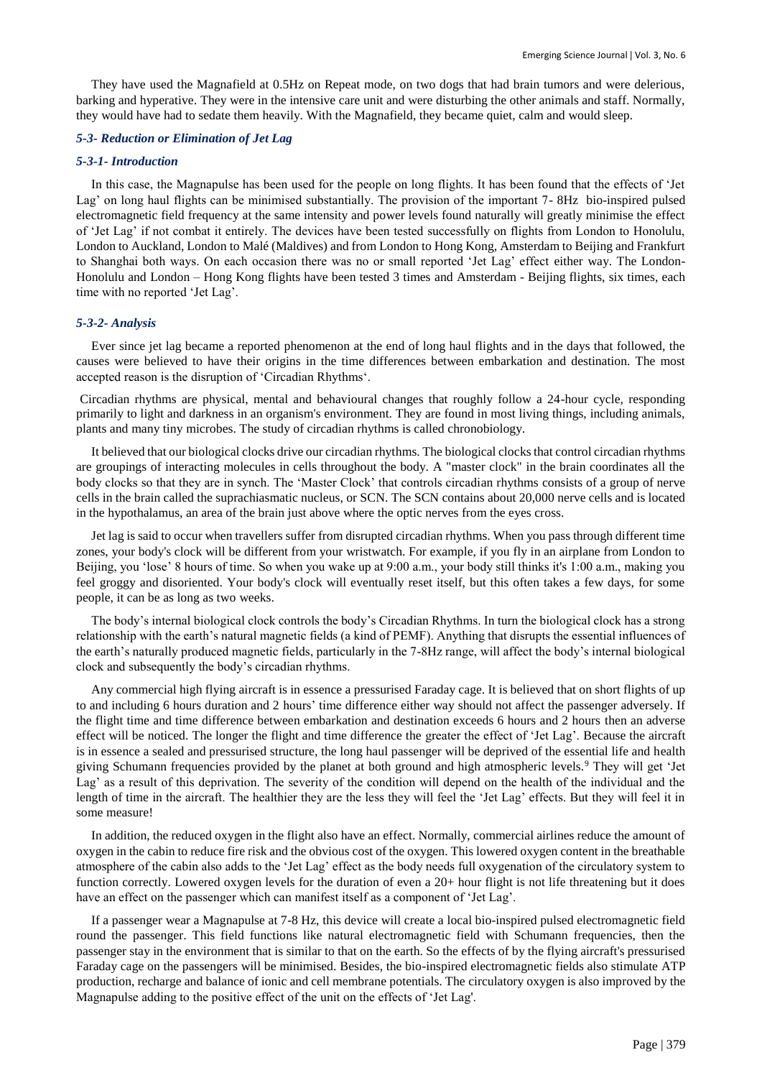They have used the Magnafield at 0.5Hz on Repeat mode, on two dogs that had brain tumors and were delerious, barking and hyperative. They were in the intensive care unit and were disturbing the other animals and staff. Normally, they would have had to sedate them heavily. With the Magnafield, they became quiet, calm and would sleep.

#### *5-3- Reduction or Elimination of Jet Lag*

#### *5-3-1- Introduction*

In this case, the Magnapulse has been used for the people on long flights. It has been found that the effects of 'Jet Lag' on long haul flights can be minimised substantially. The provision of the important 7- 8Hz bio-inspired pulsed electromagnetic field frequency at the same intensity and power levels found naturally will greatly minimise the effect of 'Jet Lag' if not combat it entirely. The devices have been tested successfully on flights from London to Honolulu, London to Auckland, London to Malé (Maldives) and from London to Hong Kong, Amsterdam to Beijing and Frankfurt to Shanghai both ways. On each occasion there was no or small reported 'Jet Lag' effect either way. The London-Honolulu and London – Hong Kong flights have been tested 3 times and Amsterdam - Beijing flights, six times, each time with no reported 'Jet Lag'.

#### *5-3-2- Analysis*

Ever since jet lag became a reported phenomenon at the end of long haul flights and in the days that followed, the causes were believed to have their origins in the time differences between embarkation and destination. The most accepted reason is the disruption of 'Circadian Rhythms'.

Circadian rhythms are physical, mental and behavioural changes that roughly follow a 24-hour cycle, responding primarily to light and darkness in an organism's environment. They are found in most living things, including animals, plants and many tiny microbes. The study of circadian rhythms is called chronobiology.

It believed that our biological clocks drive our circadian rhythms. The biological clocks that control circadian rhythms are groupings of interacting molecules in cells throughout the body. A "master clock" in the brain coordinates all the body clocks so that they are in synch. The 'Master Clock' that controls circadian rhythms consists of a group of nerve cells in the brain called the suprachiasmatic nucleus, or SCN. The SCN contains about 20,000 nerve cells and is located in the hypothalamus, an area of the brain just above where the optic nerves from the eyes cross.

Jet lag is said to occur when travellers suffer from disrupted circadian rhythms. When you pass through different time zones, your body's clock will be different from your wristwatch. For example, if you fly in an airplane from London to Beijing, you 'lose' 8 hours of time. So when you wake up at 9:00 a.m., your body still thinks it's 1:00 a.m., making you feel groggy and disoriented. Your body's clock will eventually reset itself, but this often takes a few days, for some people, it can be as long as two weeks.

The body's internal biological clock controls the body's Circadian Rhythms. In turn the biological clock has a strong relationship with the earth's natural magnetic fields (a kind of PEMF). Anything that disrupts the essential influences of the earth's naturally produced magnetic fields, particularly in the 7-8Hz range, will affect the body's internal biological clock and subsequently the body's circadian rhythms.

Any commercial high flying aircraft is in essence a pressurised Faraday cage. It is believed that on short flights of up to and including 6 hours duration and 2 hours' time difference either way should not affect the passenger adversely. If the flight time and time difference between embarkation and destination exceeds 6 hours and 2 hours then an adverse effect will be noticed. The longer the flight and time difference the greater the effect of 'Jet Lag'. Because the aircraft is in essence a sealed and pressurised structure, the long haul passenger will be deprived of the essential life and health giving Schumann frequencies provided by the planet at both ground and high atmospheric levels.<sup>9</sup> They will get 'Jet Lag' as a result of this deprivation. The severity of the condition will depend on the health of the individual and the length of time in the aircraft. The healthier they are the less they will feel the 'Jet Lag' effects. But they will feel it in some measure!

In addition, the reduced oxygen in the flight also have an effect. Normally, commercial airlines reduce the amount of oxygen in the cabin to reduce fire risk and the obvious cost of the oxygen. This lowered oxygen content in the breathable atmosphere of the cabin also adds to the 'Jet Lag' effect as the body needs full oxygenation of the circulatory system to function correctly. Lowered oxygen levels for the duration of even a 20+ hour flight is not life threatening but it does have an effect on the passenger which can manifest itself as a component of 'Jet Lag'.

If a passenger wear a Magnapulse at 7-8 Hz, this device will create a local bio-inspired pulsed electromagnetic field round the passenger. This field functions like natural electromagnetic field with Schumann frequencies, then the passenger stay in the environment that is similar to that on the earth. So the effects of by the flying aircraft's pressurised Faraday cage on the passengers will be minimised. Besides, the bio-inspired electromagnetic fields also stimulate ATP production, recharge and balance of ionic and cell membrane potentials. The circulatory oxygen is also improved by the Magnapulse adding to the positive effect of the unit on the effects of 'Jet Lag'.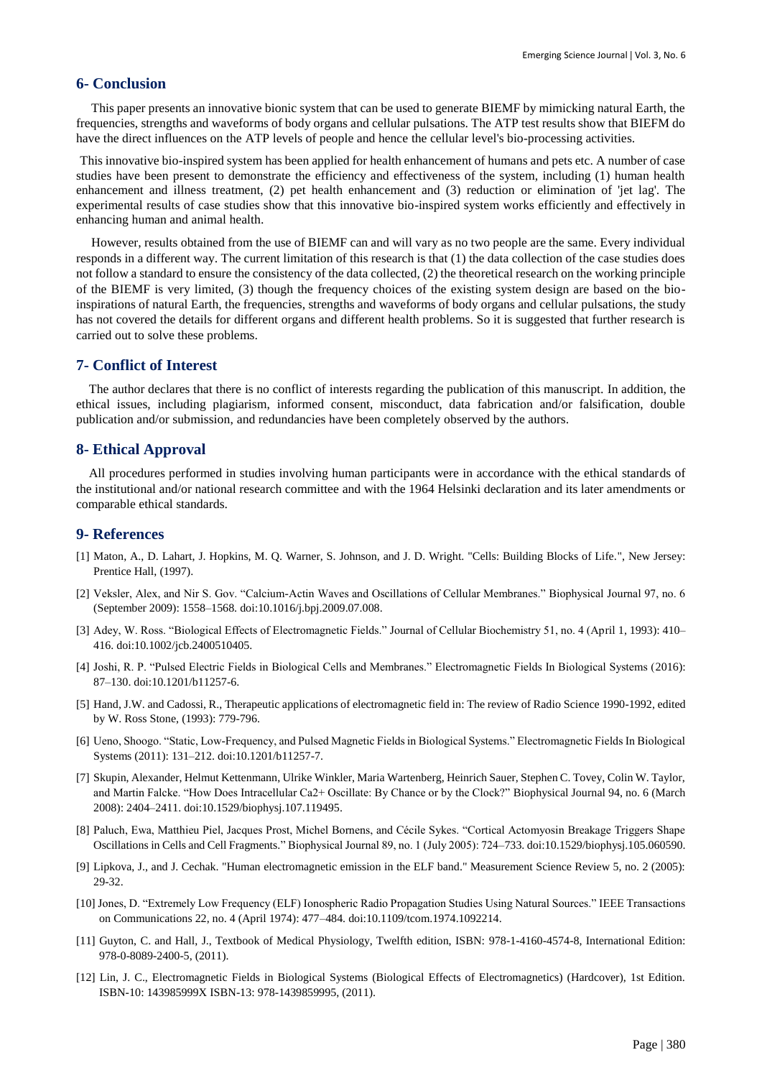# **6- Conclusion**

This paper presents an innovative bionic system that can be used to generate BIEMF by mimicking natural Earth, the frequencies, strengths and waveforms of body organs and cellular pulsations. The ATP test results show that BIEFM do have the direct influences on the ATP levels of people and hence the cellular level's bio-processing activities.

This innovative bio-inspired system has been applied for health enhancement of humans and pets etc. A number of case studies have been present to demonstrate the efficiency and effectiveness of the system, including (1) human health enhancement and illness treatment, (2) pet health enhancement and (3) reduction or elimination of 'jet lag'. The experimental results of case studies show that this innovative bio-inspired system works efficiently and effectively in enhancing human and animal health.

However, results obtained from the use of BIEMF can and will vary as no two people are the same. Every individual responds in a different way. The current limitation of this research is that (1) the data collection of the case studies does not follow a standard to ensure the consistency of the data collected, (2) the theoretical research on the working principle of the BIEMF is very limited, (3) though the frequency choices of the existing system design are based on the bioinspirations of natural Earth, the frequencies, strengths and waveforms of body organs and cellular pulsations, the study has not covered the details for different organs and different health problems. So it is suggested that further research is carried out to solve these problems.

## **7- Conflict of Interest**

The author declares that there is no conflict of interests regarding the publication of this manuscript. In addition, the ethical issues, including plagiarism, informed consent, misconduct, data fabrication and/or falsification, double publication and/or submission, and redundancies have been completely observed by the authors.

#### **8- Ethical Approval**

All procedures performed in studies involving human participants were in accordance with the ethical standards of the institutional and/or national research committee and with the 1964 Helsinki declaration and its later amendments or comparable ethical standards.

## **9- References**

- [1] Maton, A., D. Lahart, J. Hopkins, M. Q. Warner, S. Johnson, and J. D. Wright. "Cells: Building Blocks of Life.", New Jersey: Prentice Hall, (1997).
- [2] Veksler, Alex, and Nir S. Gov. "Calcium-Actin Waves and Oscillations of Cellular Membranes." Biophysical Journal 97, no. 6 (September 2009): 1558–1568. doi:10.1016/j.bpj.2009.07.008.
- [3] Adey, W. Ross. "Biological Effects of Electromagnetic Fields." Journal of Cellular Biochemistry 51, no. 4 (April 1, 1993): 410– 416. doi:10.1002/jcb.2400510405.
- [4] Joshi, R. P. "Pulsed Electric Fields in Biological Cells and Membranes." Electromagnetic Fields In Biological Systems (2016): 87–130. doi:10.1201/b11257-6.
- [5] Hand, J.W. and Cadossi, R., Therapeutic applications of electromagnetic field in: The review of Radio Science 1990-1992, edited by W. Ross Stone, (1993): 779-796.
- [6] Ueno, Shoogo. "Static, Low-Frequency, and Pulsed Magnetic Fields in Biological Systems." Electromagnetic Fields In Biological Systems (2011): 131–212. doi:10.1201/b11257-7.
- [7] Skupin, Alexander, Helmut Kettenmann, Ulrike Winkler, Maria Wartenberg, Heinrich Sauer, Stephen C. Tovey, Colin W. Taylor, and Martin Falcke. "How Does Intracellular Ca2+ Oscillate: By Chance or by the Clock?" Biophysical Journal 94, no. 6 (March 2008): 2404–2411. doi:10.1529/biophysj.107.119495.
- [8] Paluch, Ewa, Matthieu Piel, Jacques Prost, Michel Bornens, and Cécile Sykes. "Cortical Actomyosin Breakage Triggers Shape Oscillations in Cells and Cell Fragments." Biophysical Journal 89, no. 1 (July 2005): 724–733. doi:10.1529/biophysj.105.060590.
- [9] Lipkova, J., and J. Cechak. "Human electromagnetic emission in the ELF band." Measurement Science Review 5, no. 2 (2005): 29-32.
- [10] Jones, D. "Extremely Low Frequency (ELF) Ionospheric Radio Propagation Studies Using Natural Sources." IEEE Transactions on Communications 22, no. 4 (April 1974): 477–484. doi:10.1109/tcom.1974.1092214.
- [11] Guyton, C. and Hall, J., Textbook of Medical Physiology, Twelfth edition, ISBN: 978-1-4160-4574-8, International Edition: 978-0-8089-2400-5, (2011).
- [12] Lin, J. C., Electromagnetic Fields in Biological Systems (Biological Effects of Electromagnetics) (Hardcover), 1st Edition. ISBN-10: 143985999X ISBN-13: 978-1439859995, (2011).